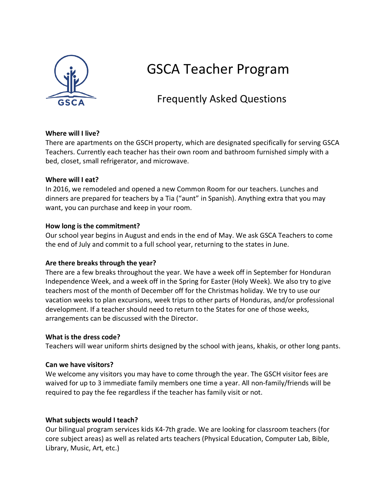

# GSCA Teacher Program

# Frequently Asked Questions

### **Where will I live?**

There are apartments on the GSCH property, which are designated specifically for serving GSCA Teachers. Currently each teacher has their own room and bathroom furnished simply with a bed, closet, small refrigerator, and microwave.

#### **Where will I eat?**

In 2016, we remodeled and opened a new Common Room for our teachers. Lunches and dinners are prepared for teachers by a Tia ("aunt" in Spanish). Anything extra that you may want, you can purchase and keep in your room.

#### **How long is the commitment?**

Our school year begins in August and ends in the end of May. We ask GSCA Teachers to come the end of July and commit to a full school year, returning to the states in June.

### **Are there breaks through the year?**

There are a few breaks throughout the year. We have a week off in September for Honduran Independence Week, and a week off in the Spring for Easter (Holy Week). We also try to give teachers most of the month of December off for the Christmas holiday. We try to use our vacation weeks to plan excursions, week trips to other parts of Honduras, and/or professional development. If a teacher should need to return to the States for one of those weeks, arrangements can be discussed with the Director.

#### **What is the dress code?**

Teachers will wear uniform shirts designed by the school with jeans, khakis, or other long pants.

#### **Can we have visitors?**

We welcome any visitors you may have to come through the year. The GSCH visitor fees are waived for up to 3 immediate family members one time a year. All non-family/friends will be required to pay the fee regardless if the teacher has family visit or not.

### **What subjects would I teach?**

Our bilingual program services kids K4-7th grade. We are looking for classroom teachers (for core subject areas) as well as related arts teachers (Physical Education, Computer Lab, Bible, Library, Music, Art, etc.)